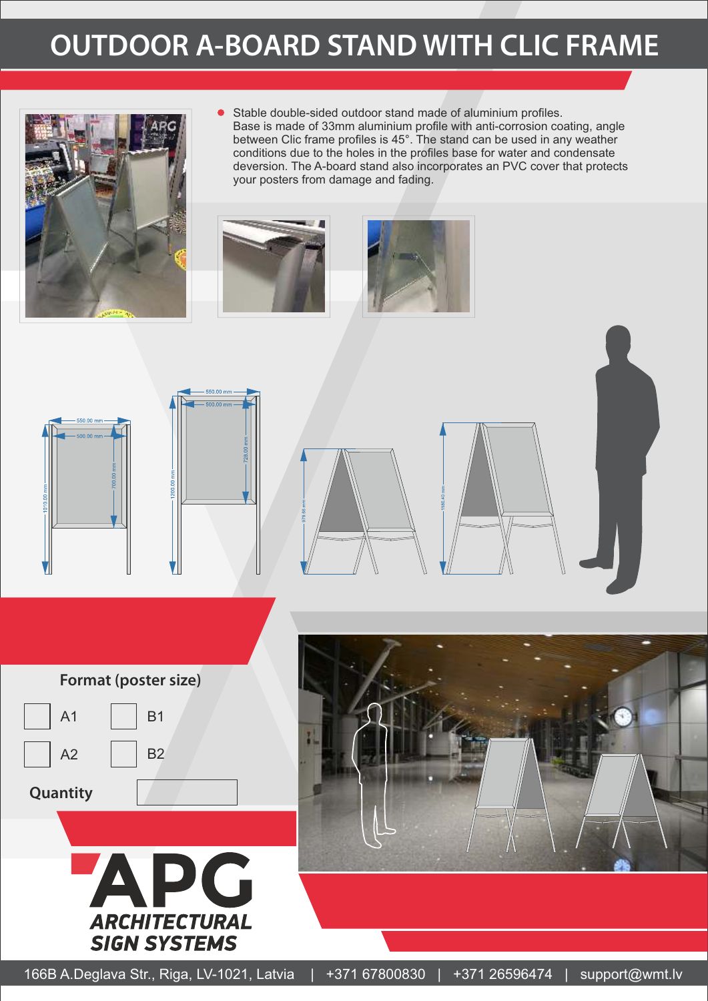### **OUTDOOR A-BOARD STAND WITH CLIC FRAME**



Stable double-sided outdoor stand made of aluminium profiles. Base is made of 33mm aluminium profile with anti-corrosion coating, angle between Clic frame profiles is 45°. The stand can be used in any weather conditions due to the holes in the profiles base for water and condensate deversion. The A-board stand also incorporates an PVC cover that protects your posters from damage and fading.













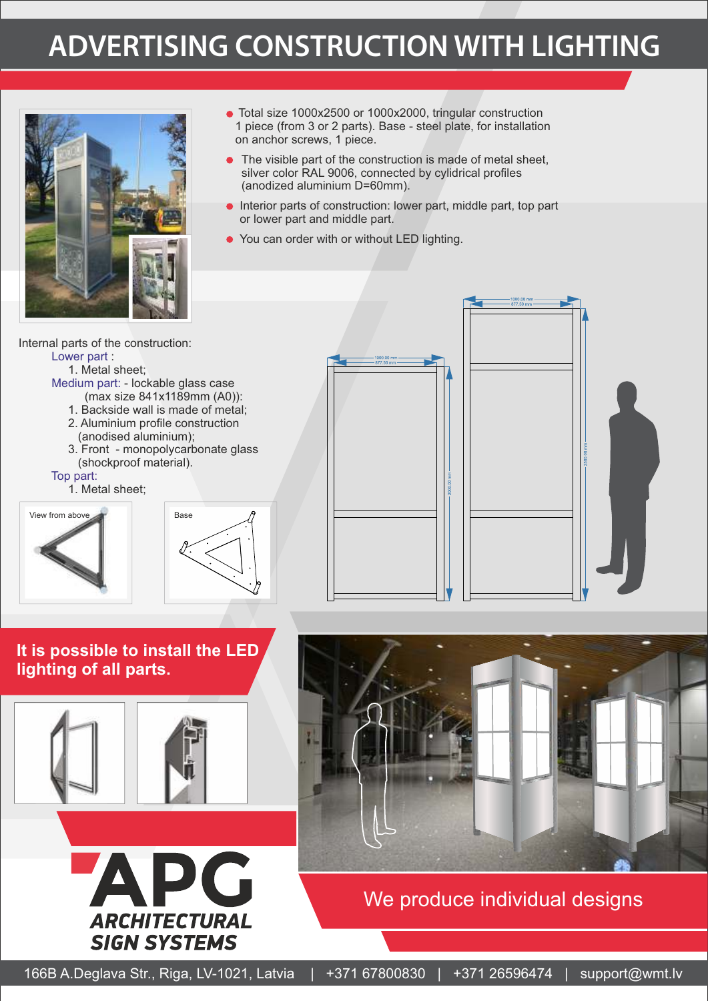## **ADVERTISING CONSTRUCTION WITH LIGHTING**



- Total size 1000x2500 or 1000x2000, tringular construction 1 piece (from 3 or 2 parts). Base - steel plate, for installation on anchor screws, 1 piece.
- The visible part of the construction is made of metal sheet, silver color RAL 9006, connected by cylidrical profiles (anodized aluminium D=60mm).
- **Interior parts of construction: lower part, middle part, top part** or lower part and middle part.
- You can order with or without LED lighting.

Internal parts of the construction: Lower part :

1. Metal sheet;

- Medium part: lockable glass case (max size 841x1189mm (A0)):
	- 1. Backside wall is made of metal;
	- 2. Aluminium profile construction (anodised aluminium);
	- 3. Front monopolycarbonate glass (shockproof material).

#### Top part:

1. Metal sheet;









**It is possible to install the LED lighting of all parts.**







We produce individual designs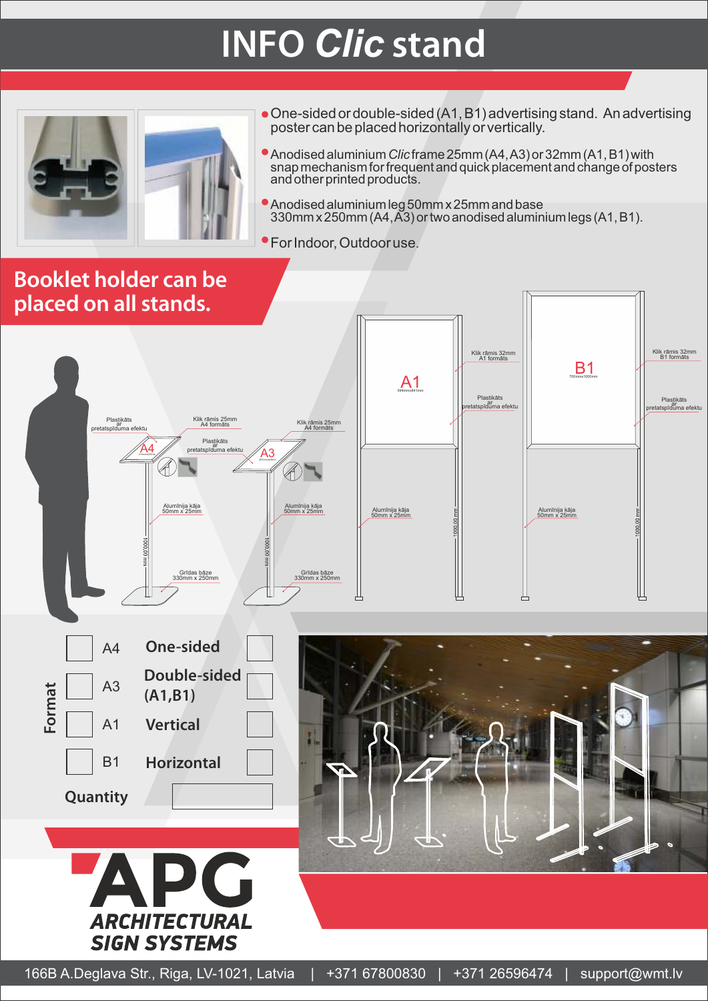# **INFO** *Clic* **stand**



- One-sided or double-sided (A1, B1) advertising stand. An advertising poster can be placed horizontally or vertically.
- Anodised aluminium *Clic* frame 25mm (A4, A3) or 32mm (A1, B1) with snap mechanism for frequent and quick placement and change of posters and other printed products.
- Anodised aluminium leg 50mm x 25mm and base 330mm x 250mm (A4, A3) or two anodised aluminium legs (A1, B1).
- For Indoor, Outdoor use.

### **Booklet holder can be placed on all stands.**